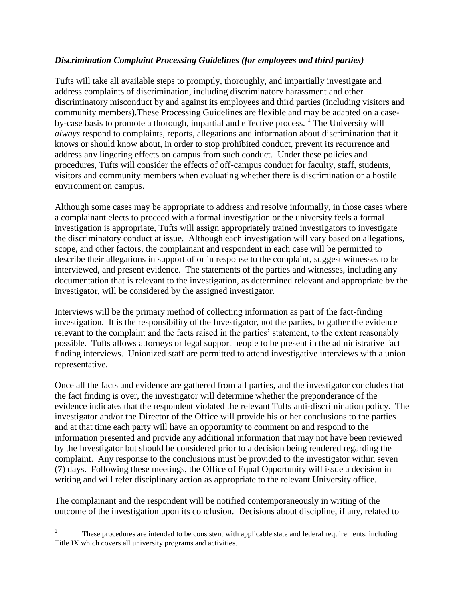## *Discrimination Complaint Processing Guidelines (for employees and third parties)*

Tufts will take all available steps to promptly, thoroughly, and impartially investigate and address complaints of discrimination, including discriminatory harassment and other discriminatory misconduct by and against its employees and third parties (including visitors and community members).These Processing Guidelines are flexible and may be adapted on a caseby-case basis to promote a thorough, impartial and effective process. <sup>1</sup> The University will *always* respond to complaints, reports, allegations and information about discrimination that it knows or should know about, in order to stop prohibited conduct, prevent its recurrence and address any lingering effects on campus from such conduct. Under these policies and procedures, Tufts will consider the effects of off-campus conduct for faculty, staff, students, visitors and community members when evaluating whether there is discrimination or a hostile environment on campus.

Although some cases may be appropriate to address and resolve informally, in those cases where a complainant elects to proceed with a formal investigation or the university feels a formal investigation is appropriate, Tufts will assign appropriately trained investigators to investigate the discriminatory conduct at issue. Although each investigation will vary based on allegations, scope, and other factors, the complainant and respondent in each case will be permitted to describe their allegations in support of or in response to the complaint, suggest witnesses to be interviewed, and present evidence. The statements of the parties and witnesses, including any documentation that is relevant to the investigation, as determined relevant and appropriate by the investigator, will be considered by the assigned investigator.

Interviews will be the primary method of collecting information as part of the fact-finding investigation. It is the responsibility of the Investigator, not the parties, to gather the evidence relevant to the complaint and the facts raised in the parties' statement, to the extent reasonably possible. Tufts allows attorneys or legal support people to be present in the administrative fact finding interviews. Unionized staff are permitted to attend investigative interviews with a union representative.

Once all the facts and evidence are gathered from all parties, and the investigator concludes that the fact finding is over, the investigator will determine whether the preponderance of the evidence indicates that the respondent violated the relevant Tufts anti-discrimination policy. The investigator and/or the Director of the Office will provide his or her conclusions to the parties and at that time each party will have an opportunity to comment on and respond to the information presented and provide any additional information that may not have been reviewed by the Investigator but should be considered prior to a decision being rendered regarding the complaint. Any response to the conclusions must be provided to the investigator within seven (7) days. Following these meetings, the Office of Equal Opportunity will issue a decision in writing and will refer disciplinary action as appropriate to the relevant University office.

The complainant and the respondent will be notified contemporaneously in writing of the outcome of the investigation upon its conclusion. Decisions about discipline, if any, related to

 $\frac{1}{1}$ These procedures are intended to be consistent with applicable state and federal requirements, including Title IX which covers all university programs and activities.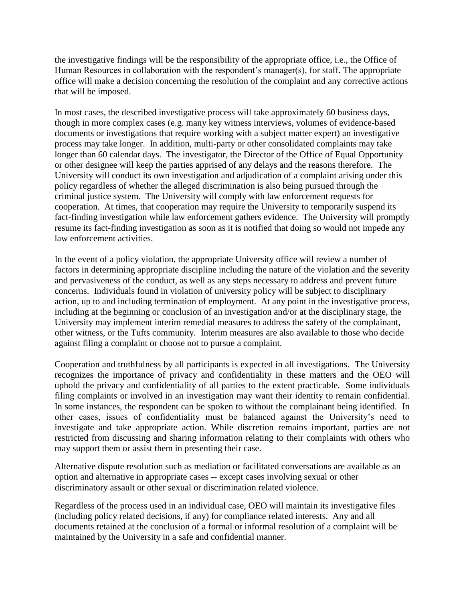the investigative findings will be the responsibility of the appropriate office, i.e., the Office of Human Resources in collaboration with the respondent's manager(s), for staff. The appropriate office will make a decision concerning the resolution of the complaint and any corrective actions that will be imposed.

In most cases, the described investigative process will take approximately 60 business days, though in more complex cases (e.g. many key witness interviews, volumes of evidence-based documents or investigations that require working with a subject matter expert) an investigative process may take longer. In addition, multi-party or other consolidated complaints may take longer than 60 calendar days. The investigator, the Director of the Office of Equal Opportunity or other designee will keep the parties apprised of any delays and the reasons therefore. The University will conduct its own investigation and adjudication of a complaint arising under this policy regardless of whether the alleged discrimination is also being pursued through the criminal justice system. The University will comply with law enforcement requests for cooperation. At times, that cooperation may require the University to temporarily suspend its fact-finding investigation while law enforcement gathers evidence. The University will promptly resume its fact-finding investigation as soon as it is notified that doing so would not impede any law enforcement activities.

In the event of a policy violation, the appropriate University office will review a number of factors in determining appropriate discipline including the nature of the violation and the severity and pervasiveness of the conduct, as well as any steps necessary to address and prevent future concerns. Individuals found in violation of university policy will be subject to disciplinary action, up to and including termination of employment. At any point in the investigative process, including at the beginning or conclusion of an investigation and/or at the disciplinary stage, the University may implement interim remedial measures to address the safety of the complainant, other witness, or the Tufts community. Interim measures are also available to those who decide against filing a complaint or choose not to pursue a complaint.

Cooperation and truthfulness by all participants is expected in all investigations. The University recognizes the importance of privacy and confidentiality in these matters and the OEO will uphold the privacy and confidentiality of all parties to the extent practicable. Some individuals filing complaints or involved in an investigation may want their identity to remain confidential. In some instances, the respondent can be spoken to without the complainant being identified. In other cases, issues of confidentiality must be balanced against the University's need to investigate and take appropriate action. While discretion remains important, parties are not restricted from discussing and sharing information relating to their complaints with others who may support them or assist them in presenting their case.

Alternative dispute resolution such as mediation or facilitated conversations are available as an option and alternative in appropriate cases -- except cases involving sexual or other discriminatory assault or other sexual or discrimination related violence.

Regardless of the process used in an individual case, OEO will maintain its investigative files (including policy related decisions, if any) for compliance related interests. Any and all documents retained at the conclusion of a formal or informal resolution of a complaint will be maintained by the University in a safe and confidential manner.